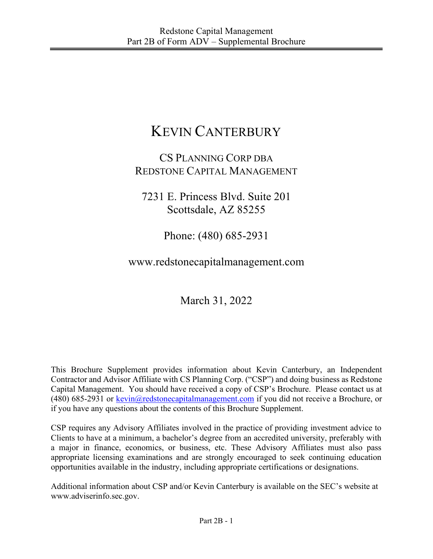# KEVIN CANTERBURY

# CS PLANNING CORP DBA REDSTONE CAPITAL MANAGEMENT

7231 E. Princess Blvd. Suite 201 Scottsdale, AZ 85255

Phone: (480) 685-2931

www.redstonecapitalmanagement.com

March 31, 2022

This Brochure Supplement provides information about Kevin Canterbury, an Independent Contractor and Advisor Affiliate with CS Planning Corp. ("CSP") and doing business as Redstone Capital Management. You should have received a copy of CSP's Brochure. Please contact us at (480) 685-2931 or  $\frac{\text{kevin}(Q)\text{redstonecapital management.com}}{R}$  if you did not receive a Brochure, or if you have any questions about the contents of this Brochure Supplement.

CSP requires any Advisory Affiliates involved in the practice of providing investment advice to Clients to have at a minimum, a bachelor's degree from an accredited university, preferably with a major in finance, economics, or business, etc. These Advisory Affiliates must also pass appropriate licensing examinations and are strongly encouraged to seek continuing education opportunities available in the industry, including appropriate certifications or designations.

Additional information about CSP and/or Kevin Canterbury is available on the SEC's website at www.adviserinfo.sec.gov.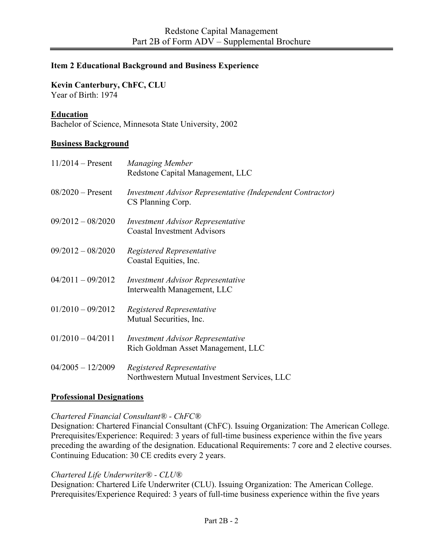# **Item 2 Educational Background and Business Experience**

# **Kevin Canterbury, ChFC, CLU**

Year of Birth: 1974

# **Education**

Bachelor of Science, Minnesota State University, 2002

### **Business Background**

| $11/2014 -$ Present | <b>Managing Member</b><br>Redstone Capital Management, LLC                      |
|---------------------|---------------------------------------------------------------------------------|
| $08/2020$ – Present | Investment Advisor Representative (Independent Contractor)<br>CS Planning Corp. |
| $09/2012 - 08/2020$ | <b>Investment Advisor Representative</b><br><b>Coastal Investment Advisors</b>  |
| $09/2012 - 08/2020$ | Registered Representative<br>Coastal Equities, Inc.                             |
| $04/2011 - 09/2012$ | <b>Investment Advisor Representative</b><br>Interwealth Management, LLC         |
| $01/2010 - 09/2012$ | Registered Representative<br>Mutual Securities, Inc.                            |
| $01/2010 - 04/2011$ | <b>Investment Advisor Representative</b><br>Rich Goldman Asset Management, LLC  |
| $04/2005 - 12/2009$ | Registered Representative<br>Northwestern Mutual Investment Services, LLC       |

#### **Professional Designations**

#### *Chartered Financial Consultant® - ChFC®*

Designation: Chartered Financial Consultant (ChFC). Issuing Organization: The American College. Prerequisites/Experience: Required: 3 years of full-time business experience within the five years preceding the awarding of the designation. Educational Requirements: 7 core and 2 elective courses. Continuing Education: 30 CE credits every 2 years.

#### *Chartered Life Underwriter® - CLU®*

Designation: Chartered Life Underwriter (CLU). Issuing Organization: The American College. Prerequisites/Experience Required: 3 years of full-time business experience within the five years